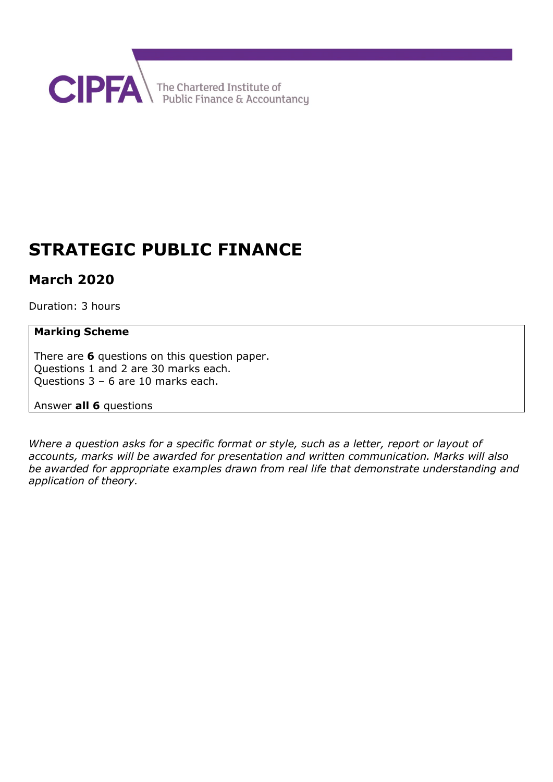

# **STRATEGIC PUBLIC FINANCE**

# **March 2020**

Duration: 3 hours

### **Marking Scheme**

There are **6** questions on this question paper. Questions 1 and 2 are 30 marks each. Questions 3 – 6 are 10 marks each.

Answer **all 6** questions

*Where a question asks for a specific format or style, such as a letter, report or layout of accounts, marks will be awarded for presentation and written communication. Marks will also be awarded for appropriate examples drawn from real life that demonstrate understanding and application of theory.*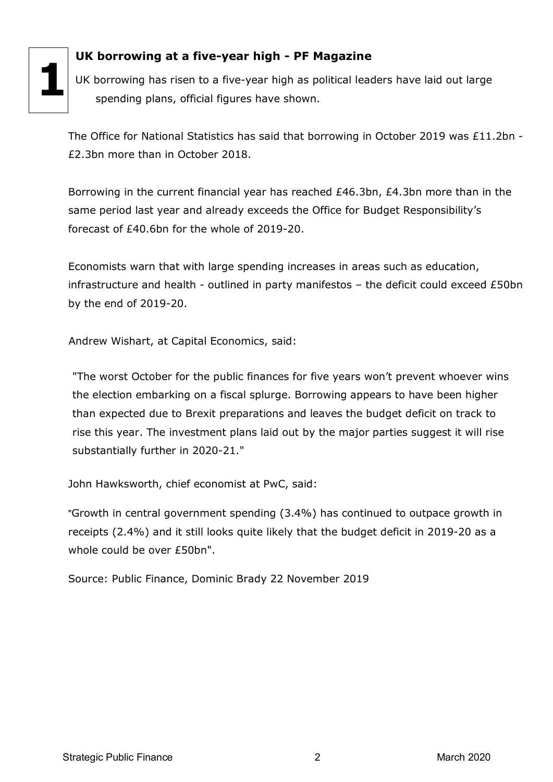

# **UK borrowing at a five-year high - PF Magazine**

 UK borrowing has risen to a five-year high as political leaders have laid out large spending plans, official figures have shown.

The Office for National Statistics has said that borrowing in October 2019 was £11.2bn - £2.3bn more than in October 2018.

Borrowing in the current financial year has reached £46.3bn, £4.3bn more than in the same period last year and already exceeds the Office for Budget Responsibility's forecast of £40.6bn for the whole of 2019-20.

Economists warn that with large spending increases in areas such as education, infrastructure and health - outlined in party manifestos – the deficit could exceed £50bn by the end of 2019-20.

Andrew Wishart, at Capital Economics, said:

"The worst October for the public finances for five years won't prevent whoever wins the election embarking on a fiscal splurge. Borrowing appears to have been higher than expected due to Brexit preparations and leaves the budget deficit on track to rise this year. The investment plans laid out by the major parties suggest it will rise substantially further in 2020-21."

John Hawksworth, chief economist at PwC, said:

"Growth in central government spending (3.4%) has continued to outpace growth in receipts (2.4%) and it still looks quite likely that the budget deficit in 2019-20 as a whole could be over £50bn".

Source: Public Finance, Dominic Brady 22 November 2019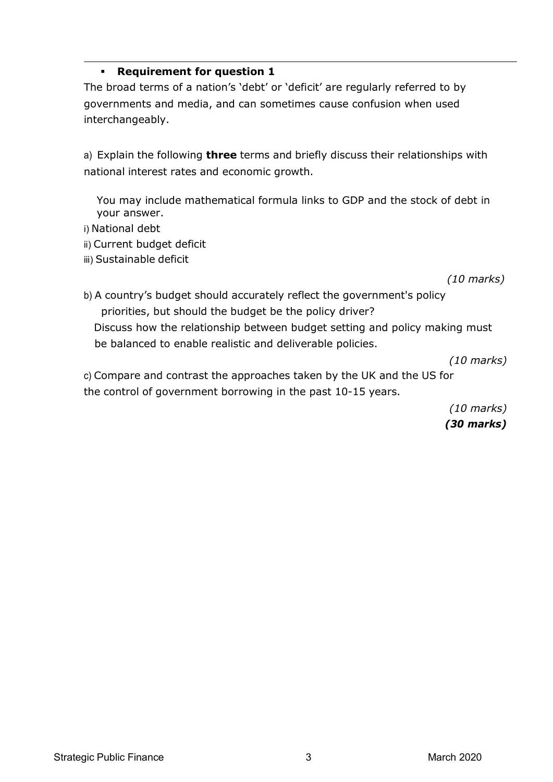### **Requirement for question 1**

The broad terms of a nation's 'debt' or 'deficit' are regularly referred to by governments and media, and can sometimes cause confusion when used interchangeably.

a) Explain the following **three** terms and briefly discuss their relationships with national interest rates and economic growth.

You may include mathematical formula links to GDP and the stock of debt in your answer.

- i) National debt
- ii) Current budget deficit
- iii) Sustainable deficit

*(10 marks)*

b) A country's budget should accurately reflect the government's policy priorities, but should the budget be the policy driver? Discuss how the relationship between budget setting and policy making must be balanced to enable realistic and deliverable policies.

*(10 marks)*

c) Compare and contrast the approaches taken by the UK and the US for the control of government borrowing in the past 10-15 years.

> *(10 marks) (30 marks)*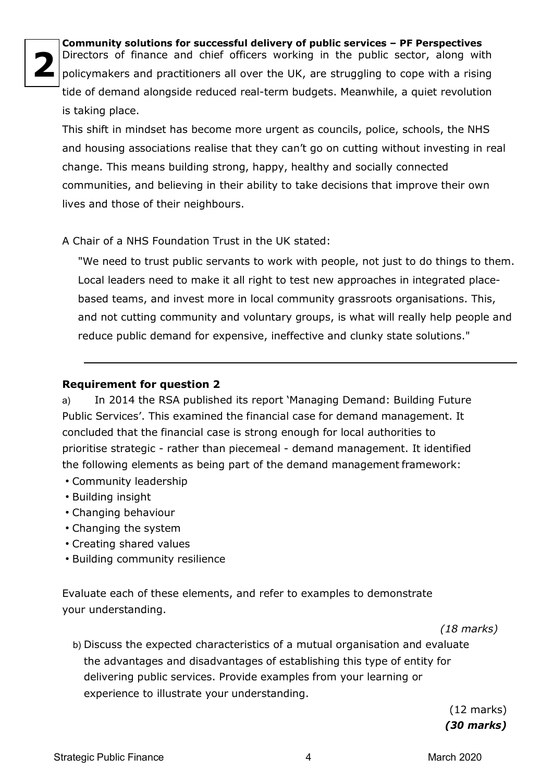**2**

**Community solutions for successful delivery of public services – PF Perspectives** Directors of finance and chief officers working in the public sector, along with policymakers and practitioners all over the UK, are struggling to cope with a rising tide of demand alongside reduced real-term budgets. Meanwhile, a quiet revolution is taking place.

This shift in mindset has become more urgent as councils, police, schools, the NHS and housing associations realise that they can't go on cutting without investing in real change. This means building strong, happy, healthy and socially connected communities, and believing in their ability to take decisions that improve their own lives and those of their neighbours.

A Chair of a NHS Foundation Trust in the UK stated:

"We need to trust public servants to work with people, not just to do things to them. Local leaders need to make it all right to test new approaches in integrated placebased teams, and invest more in local community grassroots organisations. This, and not cutting community and voluntary groups, is what will really help people and reduce public demand for expensive, ineffective and clunky state solutions."

# **Requirement for question 2**

a) In 2014 the RSA published its report 'Managing Demand: Building Future Public Services'. This examined the financial case for demand management. It concluded that the financial case is strong enough for local authorities to prioritise strategic - rather than piecemeal - demand management. It identified the following elements as being part of the demand management framework:

- Community leadership
- Building insight
- Changing behaviour
- Changing the system
- Creating shared values
- Building community resilience

Evaluate each of these elements, and refer to examples to demonstrate your understanding.

 *(18 marks)*

b) Discuss the expected characteristics of a mutual organisation and evaluate the advantages and disadvantages of establishing this type of entity for delivering public services. Provide examples from your learning or experience to illustrate your understanding.

> (12 marks) *(30 marks)*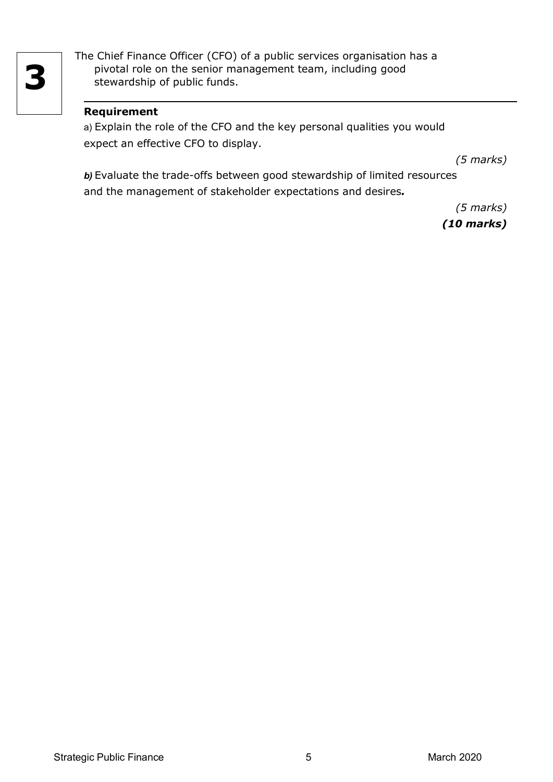The Chief Finance Officer (CFO) of a public services organisation has a pivotal role on the senior management team, including good stewardship of public funds.

### **Requirement**

a) Explain the role of the CFO and the key personal qualities you would expect an effective CFO to display.

*(5 marks)*

*b)* Evaluate the trade-offs between good stewardship of limited resources and the management of stakeholder expectations and desires*.*

> *(5 marks) (10 marks)*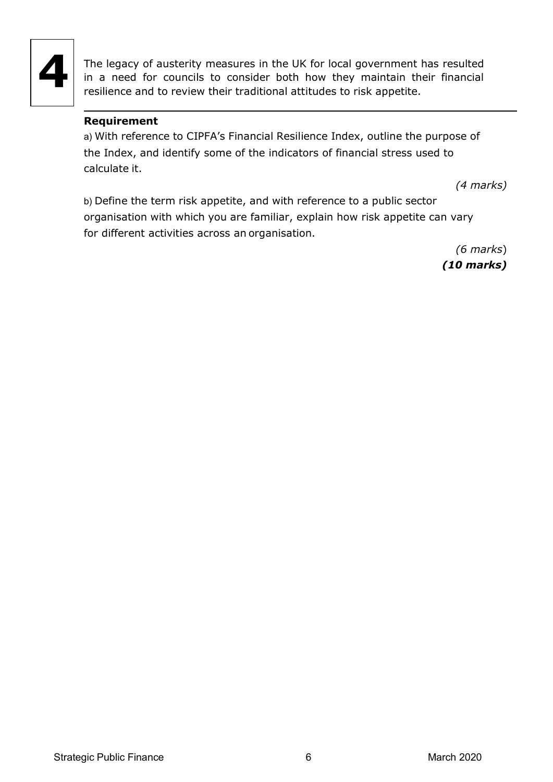

The legacy of austerity measures in the UK for local government has resulted in a need for councils to consider both how they maintain their financial resilience and to review their traditional attitudes to risk appetite.

### **Requirement**

a) With reference to CIPFA's Financial Resilience Index, outline the purpose of the Index, and identify some of the indicators of financial stress used to calculate it.

*(4 marks)*

b) Define the term risk appetite, and with reference to a public sector organisation with which you are familiar, explain how risk appetite can vary for different activities across an organisation.

> *(6 marks*) *(10 marks)*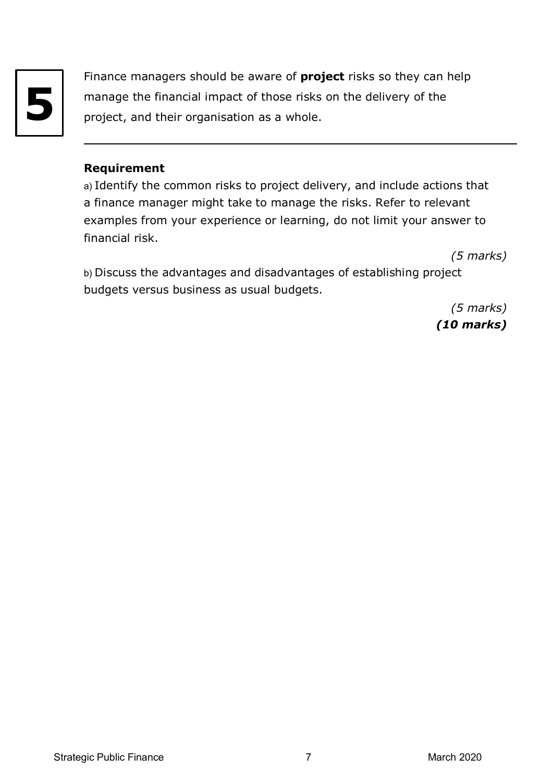

Finance managers should be aware of **project** risks so they can help manage the financial impact of those risks on the delivery of the project, and their organisation as a whole.

### **Requirement**

a) Identify the common risks to project delivery, and include actions that a finance manager might take to manage the risks. Refer to relevant examples from your experience or learning, do not limit your answer to financial risk.

*(5 marks)*

b) Discuss the advantages and disadvantages of establishing project budgets versus business as usual budgets.

> *(5 marks) (10 marks)*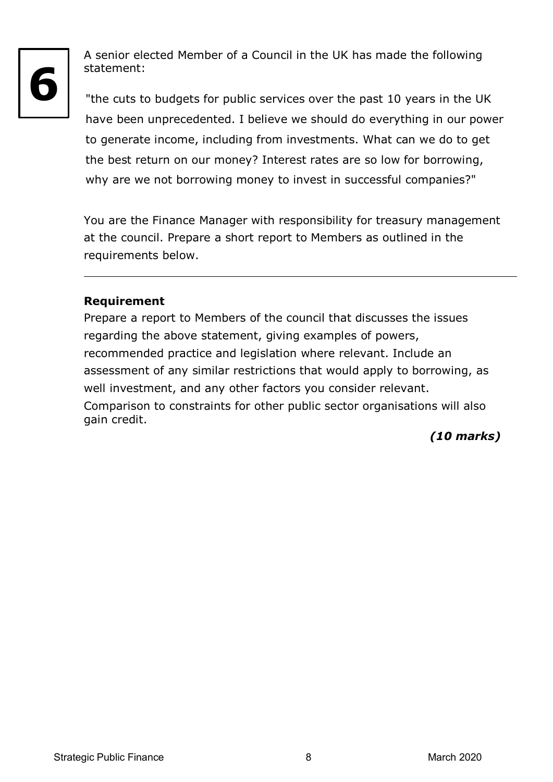

A senior elected Member of a Council in the UK has made the following statement:

"the cuts to budgets for public services over the past 10 years in the UK have been unprecedented. I believe we should do everything in our power to generate income, including from investments. What can we do to get the best return on our money? Interest rates are so low for borrowing, why are we not borrowing money to invest in successful companies?"

You are the Finance Manager with responsibility for treasury management at the council. Prepare a short report to Members as outlined in the requirements below.

# **Requirement**

Prepare a report to Members of the council that discusses the issues regarding the above statement, giving examples of powers, recommended practice and legislation where relevant. Include an assessment of any similar restrictions that would apply to borrowing, as well investment, and any other factors you consider relevant. Comparison to constraints for other public sector organisations will also gain credit.

# *(10 marks)*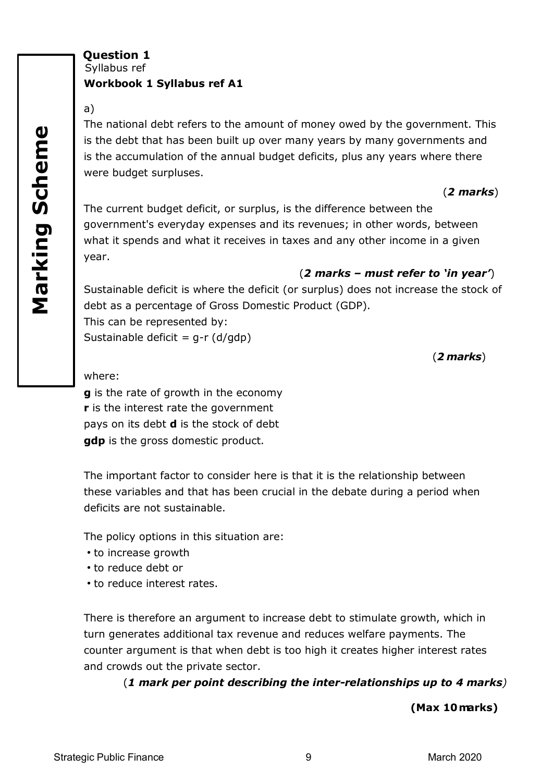Syllabus ref

#### **Workbook 1 Syllabus ref A1**

#### a)

The national debt refers to the amount of money owed by the government. This is the debt that has been built up over many years by many governments and is the accumulation of the annual budget deficits, plus any years where there were budget surpluses.

#### (*2 marks*)

The current budget deficit, or surplus, is the difference between the government's everyday expenses and its revenues; in other words, between what it spends and what it receives in taxes and any other income in a given year.

### (*2 marks – must refer to 'in year'*)

Sustainable deficit is where the deficit (or surplus) does not increase the stock of debt as a percentage of Gross Domestic Product (GDP). This can be represented by: Sustainable deficit =  $q-r$  (d/gdp)

(*2 marks*)

where:

**g** is the rate of growth in the economy **r** is the interest rate the government pays on its debt **d** is the stock of debt **gdp** is the gross domestic product.

The important factor to consider here is that it is the relationship between these variables and that has been crucial in the debate during a period when deficits are not sustainable.

The policy options in this situation are:

- to increase growth
- to reduce debt or
- to reduce interest rates.

There is therefore an argument to increase debt to stimulate growth, which in turn generates additional tax revenue and reduces welfare payments. The counter argument is that when debt is too high it creates higher interest rates and crowds out the private sector.

(*1 mark per point describing the inter-relationships up to 4 marks)*

**(Max 10marks)**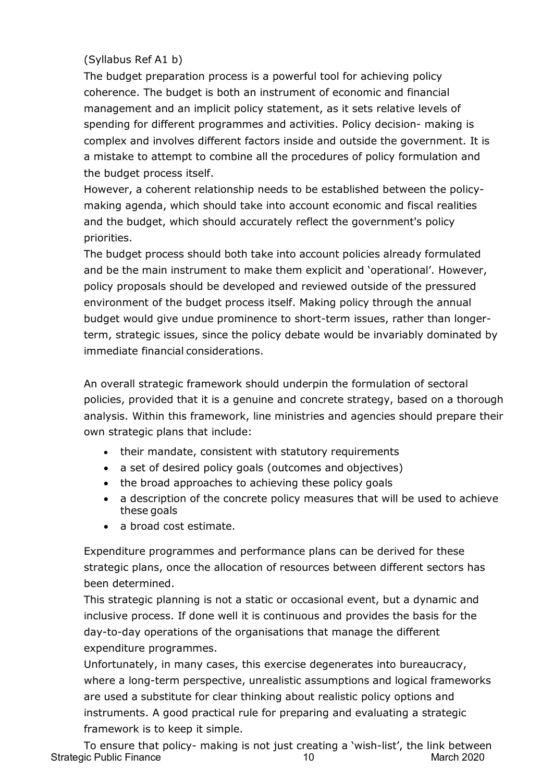### (Syllabus Ref A1 b)

The budget preparation process is a powerful tool for achieving policy coherence. The budget is both an instrument of economic and financial management and an implicit policy statement, as it sets relative levels of spending for different programmes and activities. Policy decision- making is complex and involves different factors inside and outside the government. It is a mistake to attempt to combine all the procedures of policy formulation and the budget process itself.

However, a coherent relationship needs to be established between the policymaking agenda, which should take into account economic and fiscal realities and the budget, which should accurately reflect the government's policy priorities.

The budget process should both take into account policies already formulated and be the main instrument to make them explicit and 'operational'. However, policy proposals should be developed and reviewed outside of the pressured environment of the budget process itself. Making policy through the annual budget would give undue prominence to short-term issues, rather than longerterm, strategic issues, since the policy debate would be invariably dominated by immediate financial considerations.

An overall strategic framework should underpin the formulation of sectoral policies, provided that it is a genuine and concrete strategy, based on a thorough analysis. Within this framework, line ministries and agencies should prepare their own strategic plans that include:

- their mandate, consistent with statutory requirements
- a set of desired policy goals (outcomes and objectives)
- the broad approaches to achieving these policy goals
- a description of the concrete policy measures that will be used to achieve these goals
- a broad cost estimate.

Expenditure programmes and performance plans can be derived for these strategic plans, once the allocation of resources between different sectors has been determined.

This strategic planning is not a static or occasional event, but a dynamic and inclusive process. If done well it is continuous and provides the basis for the day-to-day operations of the organisations that manage the different expenditure programmes.

Unfortunately, in many cases, this exercise degenerates into bureaucracy, where a long-term perspective, unrealistic assumptions and logical frameworks are used a substitute for clear thinking about realistic policy options and instruments. A good practical rule for preparing and evaluating a strategic framework is to keep it simple.

Strategic Public Finance 2020 To ensure that policy- making is not just creating a 'wish-list', the link between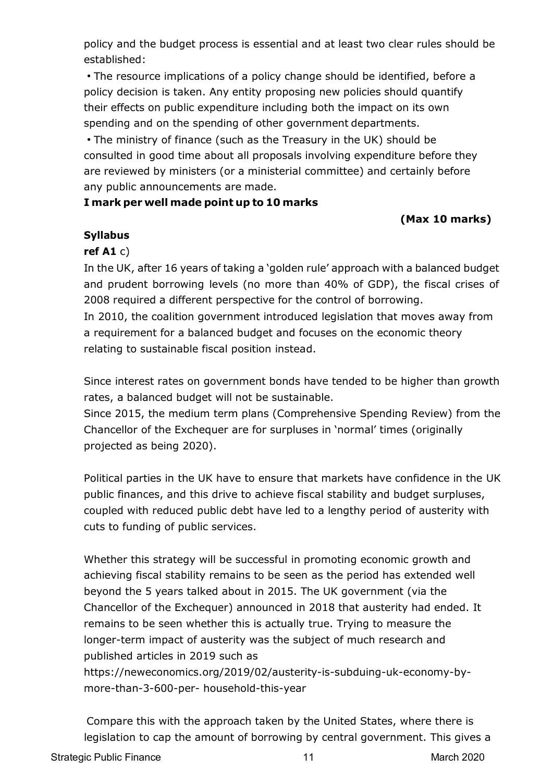policy and the budget process is essential and at least two clear rules should be established:

• The resource implications of a policy change should be identified, before a policy decision is taken. Any entity proposing new policies should quantify their effects on public expenditure including both the impact on its own spending and on the spending of other government departments.

• The ministry of finance (such as the Treasury in the UK) should be consulted in good time about all proposals involving expenditure before they are reviewed by ministers (or a ministerial committee) and certainly before any public announcements are made.

### **I mark per well made point up to 10 marks**

# **(Max 10 marks)**

### **Syllabus**

# **ref A1** c)

In the UK, after 16 years of taking a 'golden rule' approach with a balanced budget and prudent borrowing levels (no more than 40% of GDP), the fiscal crises of 2008 required a different perspective for the control of borrowing.

In 2010, the coalition government introduced legislation that moves away from a requirement for a balanced budget and focuses on the economic theory relating to sustainable fiscal position instead.

Since interest rates on government bonds have tended to be higher than growth rates, a balanced budget will not be sustainable.

Since 2015, the medium term plans (Comprehensive Spending Review) from the Chancellor of the Exchequer are for surpluses in 'normal' times (originally projected as being 2020).

Political parties in the UK have to ensure that markets have confidence in the UK public finances, and this drive to achieve fiscal stability and budget surpluses, coupled with reduced public debt have led to a lengthy period of austerity with cuts to funding of public services.

Whether this strategy will be successful in promoting economic growth and achieving fiscal stability remains to be seen as the period has extended well beyond the 5 years talked about in 2015. The UK government (via the Chancellor of the Exchequer) announced in 2018 that austerity had ended. It remains to be seen whether this is actually true. Trying to measure the longer-term impact of austerity was the subject of much research and published articles in 2019 such as

https://neweconomics.org/2019/02/austerity-is-subduing-uk-economy-bymore-than-3-600-per- household-this-year

Compare this with the approach taken by the United States, where there is legislation to cap the amount of borrowing by central government. This gives a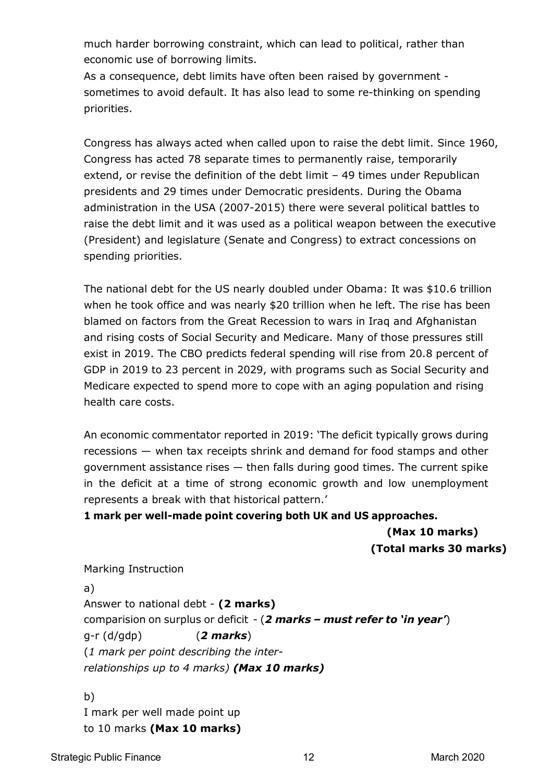much harder borrowing constraint, which can lead to political, rather than economic use of borrowing limits.

As a consequence, debt limits have often been raised by government sometimes to avoid default. It has also lead to some re-thinking on spending priorities.

Congress has always acted when called upon to raise the debt limit. Since 1960, Congress has acted 78 separate times to permanently raise, temporarily extend, or revise the definition of the debt limit – 49 times under Republican presidents and 29 times under Democratic presidents. During the Obama administration in the USA (2007-2015) there were several political battles to raise the debt limit and it was used as a political weapon between the executive (President) and legislature (Senate and Congress) to extract concessions on spending priorities.

The national debt for the US nearly doubled under Obama: It was \$10.6 trillion when he took office and was nearly \$20 trillion when he left. The rise has been blamed on factors from the Great Recession to wars in Iraq and Afghanistan and rising costs of Social Security and Medicare. Many of those pressures still exist in 2019. The CBO predicts federal spending will rise from 20.8 percent of GDP in 2019 to 23 percent in 2029, with programs such as Social Security and Medicare expected to spend more to cope with an aging population and rising health care costs.

An economic commentator reported in 2019: 'The deficit typically grows during recessions — when tax receipts shrink and demand for food stamps and other government assistance rises — then falls during good times. The current spike in the deficit at a time of strong economic growth and low unemployment represents a break with that historical pattern.'

**1 mark per well-made point covering both UK and US approaches.**

**(Max 10 marks) (Total marks 30 marks)**

Marking Instruction

a) Answer to national debt - **(2 marks)** comparision on surplus or deficit - (*2 marks – must refer to 'in year'*) g-r (d/gdp) (*2 marks*) (*1 mark per point describing the interrelationships up to 4 marks) (Max 10 marks)*

b) I mark per well made point up to 10 marks **(Max 10 marks)**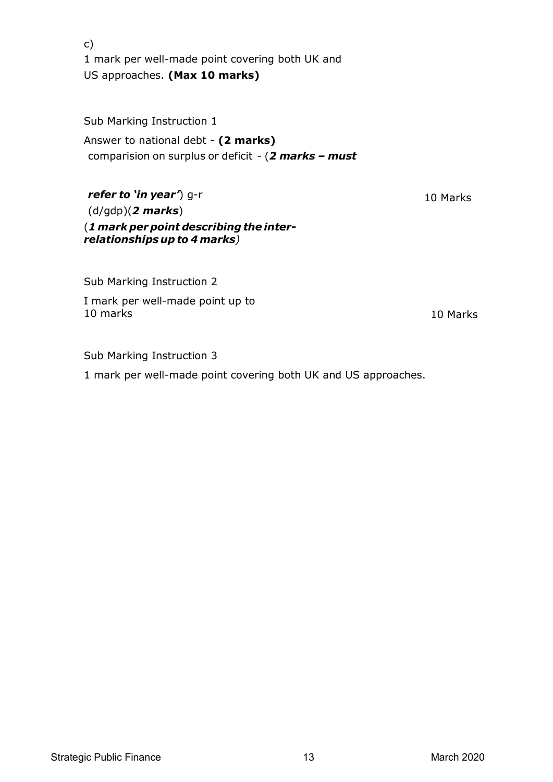c) 1 mark per well-made point covering both UK and US approaches. **(Max 10 marks)**

Sub Marking Instruction 1

Answer to national debt - **(2 marks)** comparision on surplus or deficit - (*2 marks – must*

*refer to 'in year'*) g-r (d/gdp)(*2 marks*) (*1 mark per point describing the interrelationships up to 4 marks)*

Sub Marking Instruction 2

I mark per well-made point up to 10 marks 10 Marks

10 Marks

Sub Marking Instruction 3

1 mark per well-made point covering both UK and US approaches.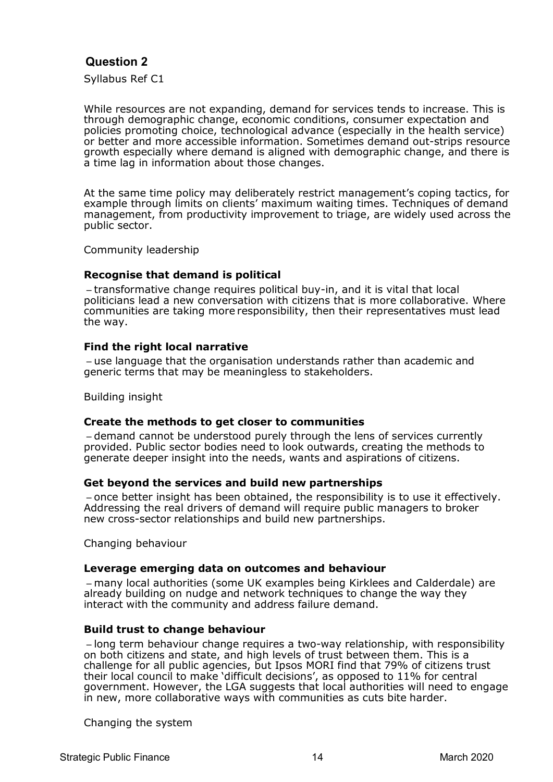Syllabus Ref C1

While resources are not expanding, demand for services tends to increase. This is through demographic change, economic conditions, consumer expectation and policies promoting choice, technological advance (especially in the health service) or better and more accessible information. Sometimes demand out-strips resource growth especially where demand is aligned with demographic change, and there is a time lag in information about those changes.

At the same time policy may deliberately restrict management's coping tactics, for example through limits on clients' maximum waiting times. Techniques of demand management, from productivity improvement to triage, are widely used across the public sector.

Community leadership

#### **Recognise that demand is political**

– transformative change requires political buy-in, and it is vital that local politicians lead a new conversation with citizens that is more collaborative. Where communities are taking more responsibility, then their representatives must lead the way.

#### **Find the right local narrative**

– use language that the organisation understands rather than academic and generic terms that may be meaningless to stakeholders.

Building insight

#### **Create the methods to get closer to communities**

– demand cannot be understood purely through the lens of services currently provided. Public sector bodies need to look outwards, creating the methods to generate deeper insight into the needs, wants and aspirations of citizens.

#### **Get beyond the services and build new partnerships**

– once better insight has been obtained, the responsibility is to use it effectively. Addressing the real drivers of demand will require public managers to broker new cross-sector relationships and build new partnerships.

Changing behaviour

#### **Leverage emerging data on outcomes and behaviour**

– many local authorities (some UK examples being Kirklees and Calderdale) are already building on nudge and network techniques to change the way they interact with the community and address failure demand.

#### **Build trust to change behaviour**

– long term behaviour change requires a two-way relationship, with responsibility on both citizens and state, and high levels of trust between them. This is a challenge for all public agencies, but Ipsos MORI find that 79% of citizens trust their local council to make 'difficult decisions', as opposed to 11% for central government. However, the LGA suggests that local authorities will need to engage in new, more collaborative ways with communities as cuts bite harder.

Changing the system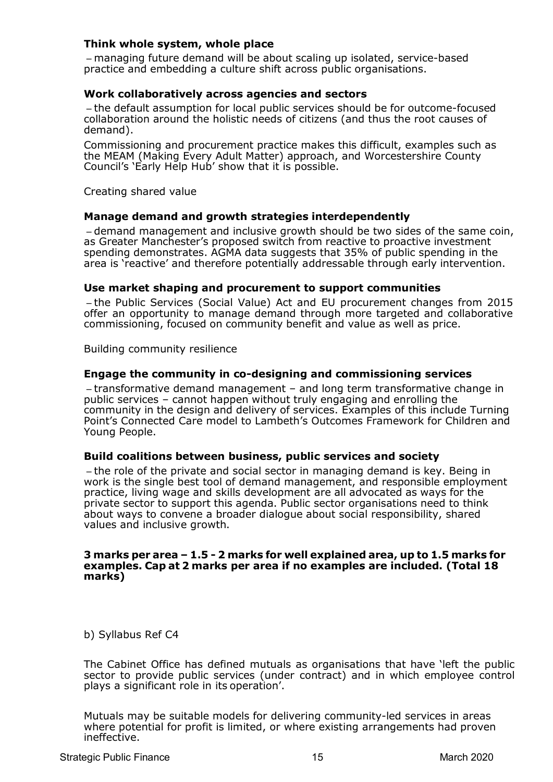#### **Think whole system, whole place**

– managing future demand will be about scaling up isolated, service-based practice and embedding a culture shift across public organisations.

#### **Work collaboratively across agencies and sectors**

– the default assumption for local public services should be for outcome-focused collaboration around the holistic needs of citizens (and thus the root causes of demand).

Commissioning and procurement practice makes this difficult, examples such as the MEAM (Making Every Adult Matter) approach, and Worcestershire County Council's 'Early Help Hub' show that it is possible.

Creating shared value

#### **Manage demand and growth strategies interdependently**

– demand management and inclusive growth should be two sides of the same coin, as Greater Manchester's proposed switch from reactive to proactive investment spending demonstrates. AGMA data suggests that 35% of public spending in the area is 'reactive' and therefore potentially addressable through early intervention.

#### **Use market shaping and procurement to support communities**

– the Public Services (Social Value) Act and EU procurement changes from 2015 offer an opportunity to manage demand through more targeted and collaborative commissioning, focused on community benefit and value as well as price.

Building community resilience

#### **Engage the community in co-designing and commissioning services**

– transformative demand management – and long term transformative change in public services – cannot happen without truly engaging and enrolling the community in the design and delivery of services. Examples of this include Turning Point's Connected Care model to Lambeth's Outcomes Framework for Children and Young People.

#### **Build coalitions between business, public services and society**

– the role of the private and social sector in managing demand is key. Being in work is the single best tool of demand management, and responsible employment practice, living wage and skills development are all advocated as ways for the private sector to support this agenda. Public sector organisations need to think about ways to convene a broader dialogue about social responsibility, shared values and inclusive growth.

#### **3 marks per area – 1.5 - 2 marks for well explained area, up to 1.5 marks for examples. Cap at 2 marks per area if no examples are included. (Total 18 marks)**

b) Syllabus Ref C4

The Cabinet Office has defined mutuals as organisations that have 'left the public sector to provide public services (under contract) and in which employee control plays a significant role in its operation'.

Mutuals may be suitable models for delivering community-led services in areas where potential for profit is limited, or where existing arrangements had proven ineffective.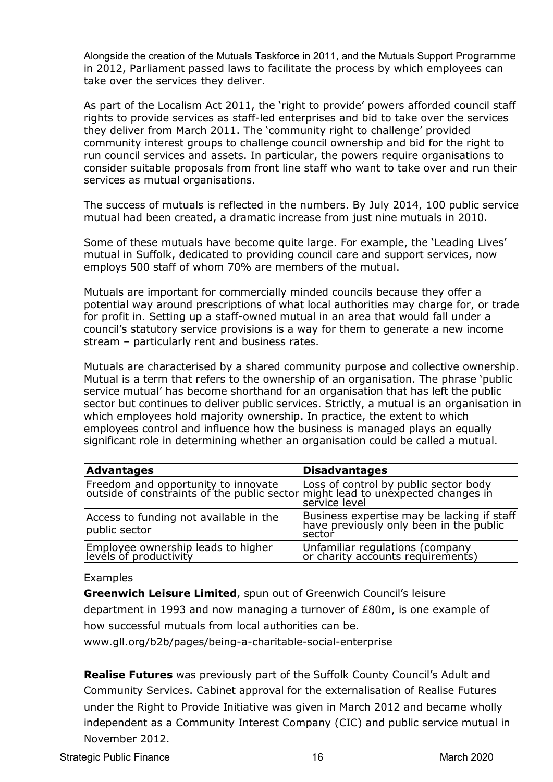Alongside the creation of the Mutuals Taskforce in 2011, and the Mutuals Support Programme in 2012, Parliament passed laws to facilitate the process by which employees can take over the services they deliver.

As part of the Localism Act 2011, the 'right to provide' powers afforded council staff rights to provide services as staff-led enterprises and bid to take over the services they deliver from March 2011. The 'community right to challenge' provided community interest groups to challenge council ownership and bid for the right to run council services and assets. In particular, the powers require organisations to consider suitable proposals from front line staff who want to take over and run their services as mutual organisations.

The success of mutuals is reflected in the numbers. By July 2014, 100 public service mutual had been created, a dramatic increase from just nine mutuals in 2010.

Some of these mutuals have become quite large. For example, the 'Leading Lives' mutual in Suffolk, dedicated to providing council care and support services, now employs 500 staff of whom 70% are members of the mutual.

Mutuals are important for commercially minded councils because they offer a potential way around prescriptions of what local authorities may charge for, or trade for profit in. Setting up a staff-owned mutual in an area that would fall under a council's statutory service provisions is a way for them to generate a new income stream – particularly rent and business rates.

Mutuals are characterised by a shared community purpose and collective ownership. Mutual is a term that refers to the ownership of an organisation. The phrase 'public service mutual' has become shorthand for an organisation that has left the public sector but continues to deliver public services. Strictly, a mutual is an organisation in which employees hold majority ownership. In practice, the extent to which employees control and influence how the business is managed plays an equally significant role in determining whether an organisation could be called a mutual.

| Advantages                                                                                                                                                      | <b>Disadvantages</b>                                                                            |
|-----------------------------------------------------------------------------------------------------------------------------------------------------------------|-------------------------------------------------------------------------------------------------|
| Freedom and opportunity to innovate   Loss of control by public sector body<br> outside of constraints of the public sector might lead to unexpected changes in | service level                                                                                   |
| Access to funding not available in the<br>public sector                                                                                                         | Business expertise may be lacking if staff<br>have previously only been in the public<br>sector |
| Employee ownership leads to higher<br> levels of productivity                                                                                                   | Unfamiliar regulations (company<br> or charity accounts requirements)                           |

#### Examples

**Greenwich Leisure Limited**, spun out of Greenwich Council's leisure department in 1993 and now managing a turnover of £80m, is one example of how successful mutuals from local authorities can be.

[www.gll.org/b2b/pages/being-a-charitable-social-enterprise](http://www.gll.org/b2b/pages/being-a-charitable-social-enterprise)

**Realise Futures** was previously part of the Suffolk County Council's Adult and Community Services. Cabinet approval for the externalisation of Realise Futures under the Right to Provide Initiative was given in March 2012 and became wholly independent as a Community Interest Company (CIC) and public service mutual in November 2012.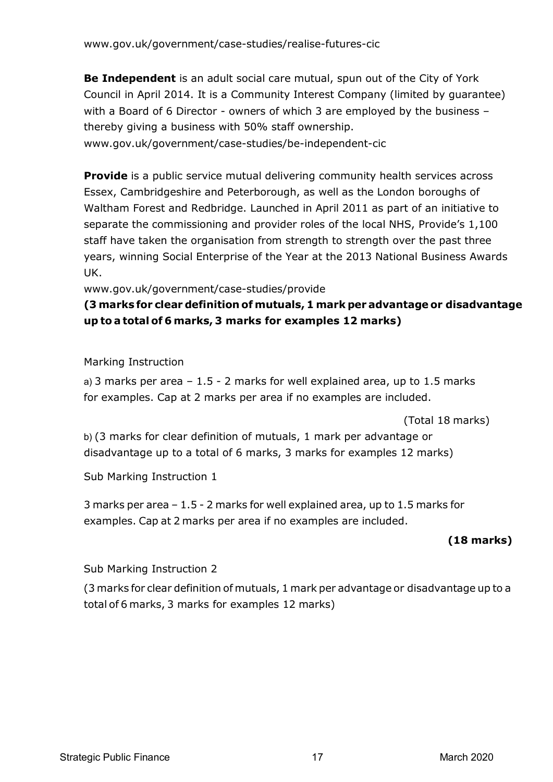**Be Independent** is an adult social care mutual, spun out of the City of York Council in April 2014. It is a Community Interest Company (limited by guarantee) with a Board of 6 Director - owners of which 3 are employed by the business – thereby giving a business with 50% staff ownership. [www.gov.uk/government/case-studies/be-independent-cic](http://www.gov.uk/government/case-studies/be-independent-cic)

**Provide** is a public service mutual delivering community health services across Essex, Cambridgeshire and Peterborough, as well as the London boroughs of Waltham Forest and Redbridge. Launched in April 2011 as part of an initiative to separate the commissioning and provider roles of the local NHS, Provide's 1,100 staff have taken the organisation from strength to strength over the past three years, winning Social Enterprise of the Year at the 2013 National Business Awards UK.

[www.gov.uk/government/case-studies/provide](http://www.gov.uk/government/case-studies/provide)

# **(3 marks for clear definition of mutuals, 1 mark per advantage or disadvantage up to a total of 6 marks, 3 marks for examples 12 marks)**

Marking Instruction

a) 3 marks per area  $-1.5 - 2$  marks for well explained area, up to 1.5 marks for examples. Cap at 2 marks per area if no examples are included.

(Total 18 marks)

b) (3 marks for clear definition of mutuals, 1 mark per advantage or disadvantage up to a total of 6 marks, 3 marks for examples 12 marks)

Sub Marking Instruction 1

3 marks per area – 1.5 - 2 marks for well explained area, up to 1.5 marks for examples. Cap at 2 marks per area if no examples are included.

# **(18 marks)**

Sub Marking Instruction 2

(3 marks for clear definition of mutuals, 1 mark per advantage or disadvantage up to a total of 6 marks, 3 marks for examples 12 marks)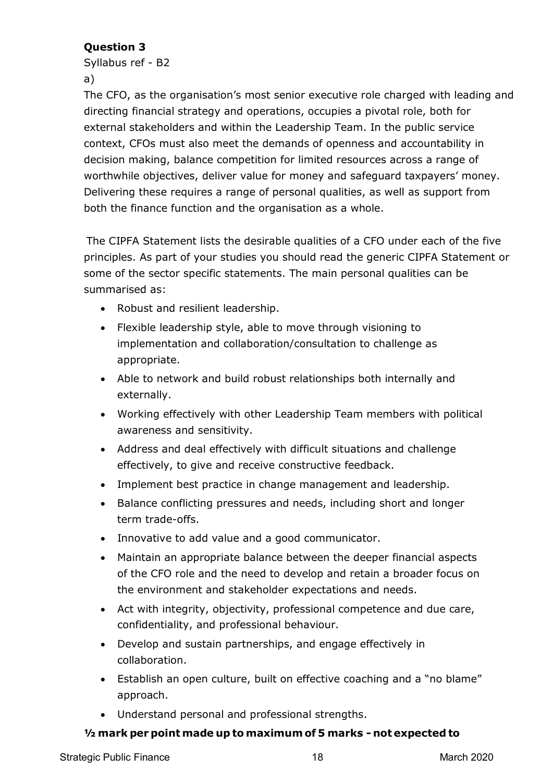Syllabus ref - B2

a)

The CFO, as the organisation's most senior executive role charged with leading and directing financial strategy and operations, occupies a pivotal role, both for external stakeholders and within the Leadership Team. In the public service context, CFOs must also meet the demands of openness and accountability in decision making, balance competition for limited resources across a range of worthwhile objectives, deliver value for money and safeguard taxpayers' money. Delivering these requires a range of personal qualities, as well as support from both the finance function and the organisation as a whole.

The CIPFA Statement lists the desirable qualities of a CFO under each of the five principles. As part of your studies you should read the generic CIPFA Statement or some of the sector specific statements. The main personal qualities can be summarised as:

- Robust and resilient leadership.
- Flexible leadership style, able to move through visioning to implementation and collaboration/consultation to challenge as appropriate.
- Able to network and build robust relationships both internally and externally.
- Working effectively with other Leadership Team members with political awareness and sensitivity.
- Address and deal effectively with difficult situations and challenge effectively, to give and receive constructive feedback.
- Implement best practice in change management and leadership.
- Balance conflicting pressures and needs, including short and longer term trade-offs.
- Innovative to add value and a good communicator.
- Maintain an appropriate balance between the deeper financial aspects of the CFO role and the need to develop and retain a broader focus on the environment and stakeholder expectations and needs.
- Act with integrity, objectivity, professional competence and due care, confidentiality, and professional behaviour.
- Develop and sustain partnerships, and engage effectively in collaboration.
- Establish an open culture, built on effective coaching and a "no blame" approach.
- Understand personal and professional strengths.

# **½mark per pointmade up to maximum of 5 marks - not expected to**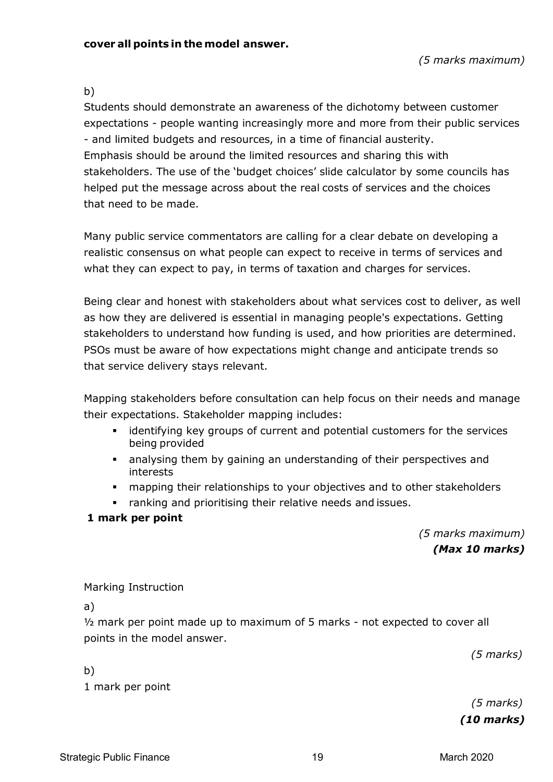### b)

Students should demonstrate an awareness of the dichotomy between customer expectations - people wanting increasingly more and more from their public services - and limited budgets and resources, in a time of financial austerity. Emphasis should be around the limited resources and sharing this with stakeholders. The use of the 'budget choices' slide calculator by some councils has helped put the message across about the real costs of services and the choices that need to be made.

Many public service commentators are calling for a clear debate on developing a realistic consensus on what people can expect to receive in terms of services and what they can expect to pay, in terms of taxation and charges for services.

Being clear and honest with stakeholders about what services cost to deliver, as well as how they are delivered is essential in managing people's expectations. Getting stakeholders to understand how funding is used, and how priorities are determined. PSOs must be aware of how expectations might change and anticipate trends so that service delivery stays relevant.

Mapping stakeholders before consultation can help focus on their needs and manage their expectations. Stakeholder mapping includes:

- **EXT** identifying key groups of current and potential customers for the services being provided
- analysing them by gaining an understanding of their perspectives and interests
- **EXT** mapping their relationships to your objectives and to other stakeholders
- ranking and prioritising their relative needs and issues.

### **1 mark per point**

*(5 marks maximum) (Max 10 marks)*

Marking Instruction

a)

½ mark per point made up to maximum of 5 marks - not expected to cover all points in the model answer.

*(5 marks)* 

b) 1 mark per point

> *(5 marks) (10 marks)*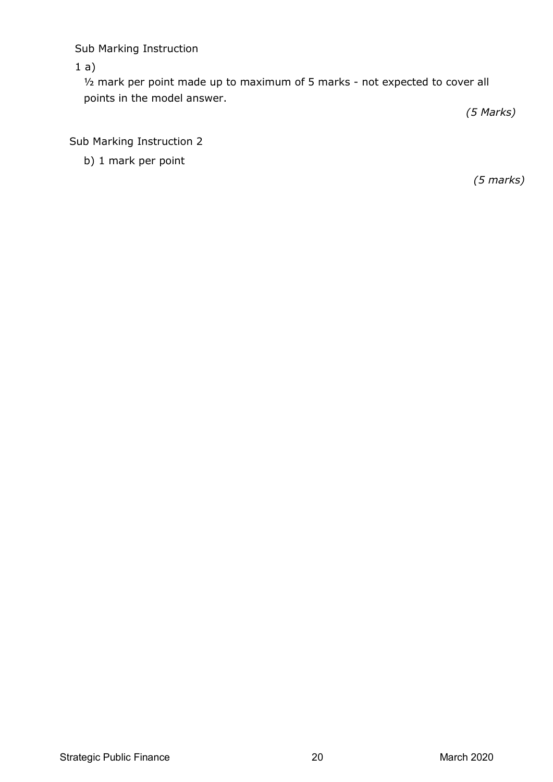Sub Marking Instruction

 $1 a)$ 

½ mark per point made up to maximum of 5 marks - not expected to cover all points in the model answer.

*(5 Marks)*

Sub Marking Instruction 2

b) 1 mark per point

*(5 marks)*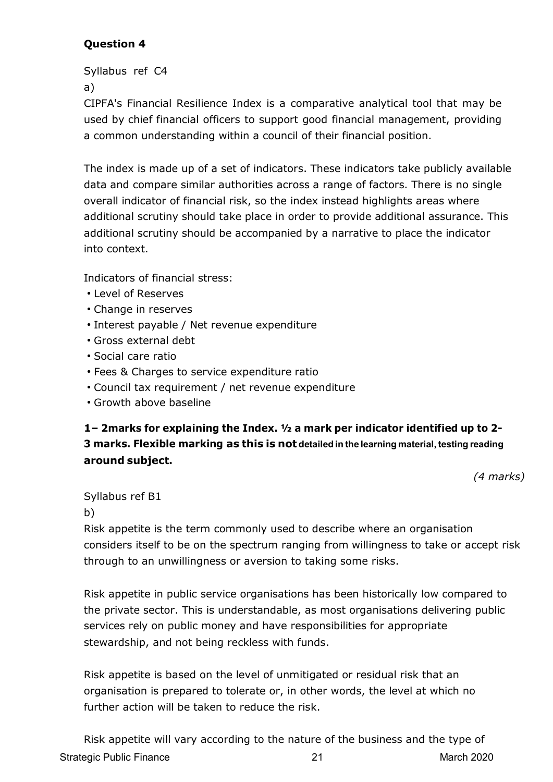Syllabus ref C4 a)

CIPFA's Financial Resilience Index is a comparative analytical tool that may be used by chief financial officers to support good financial management, providing a common understanding within a council of their financial position.

The index is made up of a set of indicators. These indicators take publicly available data and compare similar authorities across a range of factors. There is no single overall indicator of financial risk, so the index instead highlights areas where additional scrutiny should take place in order to provide additional assurance. This additional scrutiny should be accompanied by a narrative to place the indicator into context.

Indicators of financial stress:

- Level of Reserves
- Change in reserves
- Interest payable / Net revenue expenditure
- Gross external debt
- Social care ratio
- Fees & Charges to service expenditure ratio
- Council tax requirement / net revenue expenditure
- Growth above baseline

# **1– 2marks for explaining the Index. ½ a mark per indicator identified up to 2- 3 marks. Flexible marking as this is not detailedin the learning material, testing reading around subject.**

*(4 marks)*

Syllabus ref B1

#### b)

Risk appetite is the term commonly used to describe where an organisation considers itself to be on the spectrum ranging from willingness to take or accept risk through to an unwillingness or aversion to taking some risks.

Risk appetite in public service organisations has been historically low compared to the private sector. This is understandable, as most organisations delivering public services rely on public money and have responsibilities for appropriate stewardship, and not being reckless with funds.

Risk appetite is based on the level of unmitigated or residual risk that an organisation is prepared to tolerate or, in other words, the level at which no further action will be taken to reduce the risk.

Strategic Public Finance 21 21 March 2020 Risk appetite will vary according to the nature of the business and the type of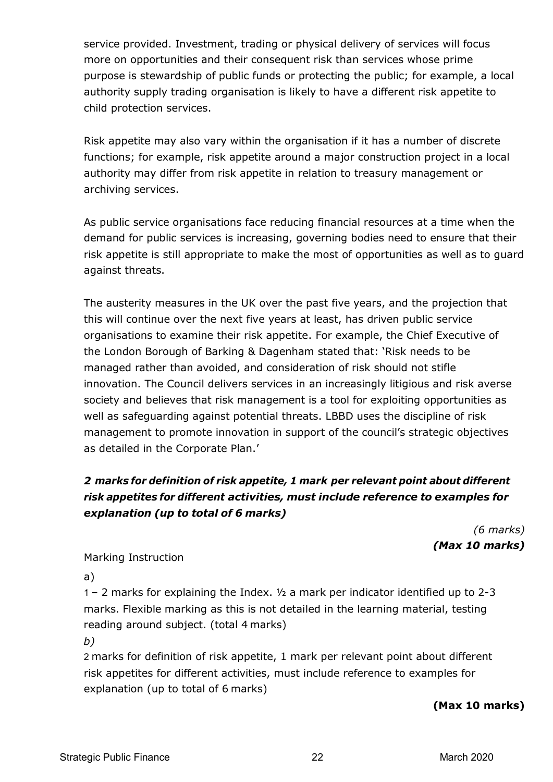service provided. Investment, trading or physical delivery of services will focus more on opportunities and their consequent risk than services whose prime purpose is stewardship of public funds or protecting the public; for example, a local authority supply trading organisation is likely to have a different risk appetite to child protection services.

Risk appetite may also vary within the organisation if it has a number of discrete functions; for example, risk appetite around a major construction project in a local authority may differ from risk appetite in relation to treasury management or archiving services.

As public service organisations face reducing financial resources at a time when the demand for public services is increasing, governing bodies need to ensure that their risk appetite is still appropriate to make the most of opportunities as well as to guard against threats.

The austerity measures in the UK over the past five years, and the projection that this will continue over the next five years at least, has driven public service organisations to examine their risk appetite. For example, the Chief Executive of the London Borough of Barking & Dagenham stated that: 'Risk needs to be managed rather than avoided, and consideration of risk should not stifle innovation. The Council delivers services in an increasingly litigious and risk averse society and believes that risk management is a tool for exploiting opportunities as well as safeguarding against potential threats. LBBD uses the discipline of risk management to promote innovation in support of the council's strategic objectives as detailed in the Corporate Plan.'

# *2 marks for definition of risk appetite, 1 mark per relevant point about different risk appetites for different activities, must include reference to examples for explanation (up to total of 6 marks)*

*(6 marks) (Max 10 marks)*

Marking Instruction

a)

1 – 2 marks for explaining the Index. ½ a mark per indicator identified up to 2-3 marks. Flexible marking as this is not detailed in the learning material, testing reading around subject. (total 4 marks)

*b)*

2 marks for definition of risk appetite, 1 mark per relevant point about different risk appetites for different activities, must include reference to examples for explanation (up to total of 6 marks)

**(Max 10 marks)**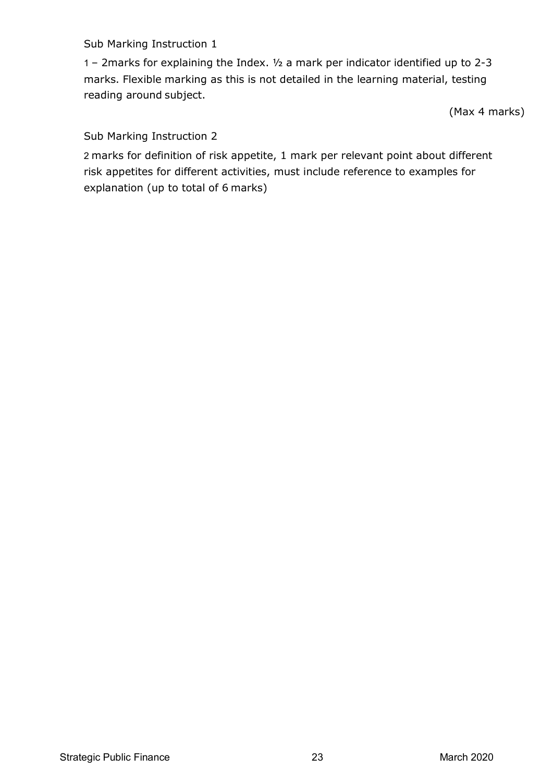### Sub Marking Instruction 1

1 – 2marks for explaining the Index. ½ a mark per indicator identified up to 2-3 marks. Flexible marking as this is not detailed in the learning material, testing reading around subject.

(Max 4 marks)

Sub Marking Instruction 2

2 marks for definition of risk appetite, 1 mark per relevant point about different risk appetites for different activities, must include reference to examples for explanation (up to total of 6 marks)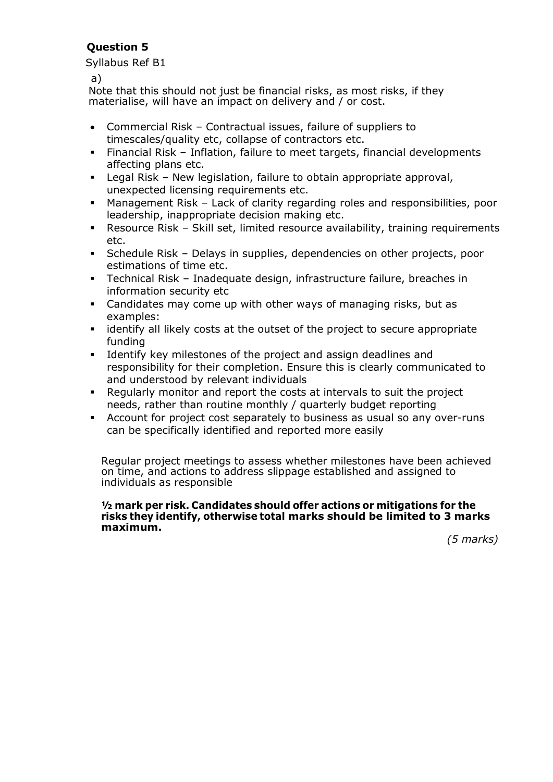Syllabus Ref B1

a)

Note that this should not just be financial risks, as most risks, if they materialise, will have an impact on delivery and / or cost.

- Commercial Risk Contractual issues, failure of suppliers to timescales/quality etc, collapse of contractors etc.
- Financial Risk Inflation, failure to meet targets, financial developments affecting plans etc.
- Legal Risk New legislation, failure to obtain appropriate approval, unexpected licensing requirements etc.
- Management Risk Lack of clarity regarding roles and responsibilities, poor leadership, inappropriate decision making etc.
- Resource Risk Skill set, limited resource availability, training requirements etc.
- Schedule Risk Delays in supplies, dependencies on other projects, poor estimations of time etc.
- Technical Risk Inadequate design, infrastructure failure, breaches in information security etc
- Candidates may come up with other ways of managing risks, but as examples:
- **identify all likely costs at the outset of the project to secure appropriate** funding
- Identify key milestones of the project and assign deadlines and responsibility for their completion. Ensure this is clearly communicated to and understood by relevant individuals
- Regularly monitor and report the costs at intervals to suit the project needs, rather than routine monthly / quarterly budget reporting
- Account for project cost separately to business as usual so any over-runs can be specifically identified and reported more easily

Regular project meetings to assess whether milestones have been achieved on time, and actions to address slippage established and assigned to individuals as responsible

#### **½ mark per risk. Candidates should offer actions or mitigations for the risks they identify, otherwise total marks should be limited to 3 marks maximum.**

*(5 marks)*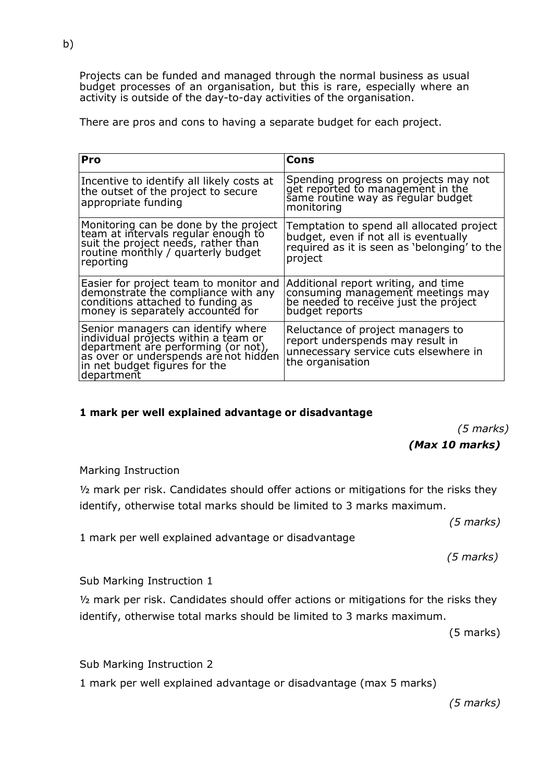Projects can be funded and managed through the normal business as usual budget processes of an organisation, but this is rare, especially where an activity is outside of the day-to-day activities of the organisation.

There are pros and cons to having a separate budget for each project.

| Pro                                                                                                                                                                                                        | Cons                                                                                                                                          |
|------------------------------------------------------------------------------------------------------------------------------------------------------------------------------------------------------------|-----------------------------------------------------------------------------------------------------------------------------------------------|
| Incentive to identify all likely costs at<br>the outset of the project to secure<br>appropriate funding                                                                                                    | Spending progress on projects may not<br>get reported to management in the<br>same routine way as regular budget<br>monitoring                |
| Monitoring can be done by the project<br>team at intervals regular enough to<br>suit the project needs, rather than<br>routine monthly / quarterly budget<br> reporting                                    | Temptation to spend all allocated project<br>budget, even if not all is eventually<br>required as it is seen as 'belonging' to the<br>project |
| Easier for project team to monitor and<br>demonstrate the compliance with any<br>conditions attached to funding as<br> money is separately accounted for                                                   | Additional report writing, and time<br>consuming management meetings may<br>be needed to receive just the project<br>budget reports           |
| Senior managers can identify where<br>individual projects within a team or<br>department are performing (or not),<br>as over or underspends are not hidden<br>in net budget figures for the<br> department | Reluctance of project managers to<br>report underspends may result in<br>unnecessary service cuts elsewhere in<br>the organisation            |

#### **1 mark per well explained advantage or disadvantage**

*(5 marks)*

#### *(Max 10 marks)*

#### Marking Instruction

½ mark per risk. Candidates should offer actions or mitigations for the risks they identify, otherwise total marks should be limited to 3 marks maximum.

*(5 marks)*

1 mark per well explained advantage or disadvantage

*(5 marks)*

Sub Marking Instruction 1

½ mark per risk. Candidates should offer actions or mitigations for the risks they identify, otherwise total marks should be limited to 3 marks maximum.

(5 marks)

Sub Marking Instruction 2

1 mark per well explained advantage or disadvantage (max 5 marks)

*(5 marks)*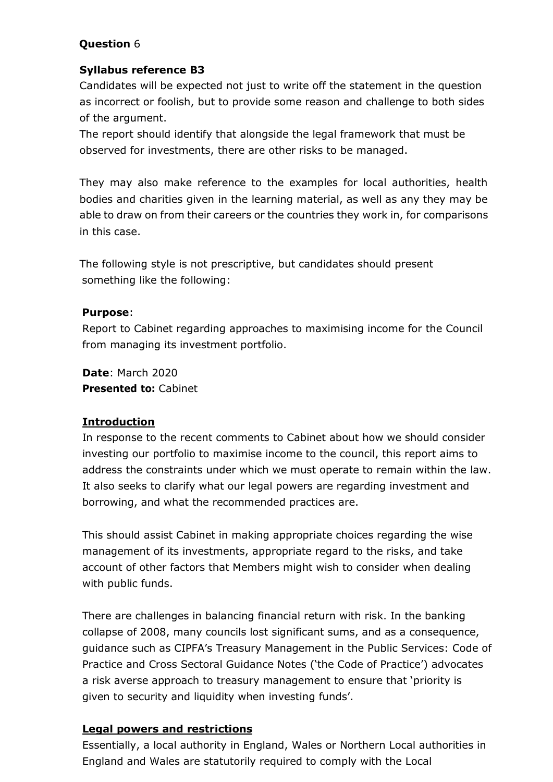### **Syllabus reference B3**

Candidates will be expected not just to write off the statement in the question as incorrect or foolish, but to provide some reason and challenge to both sides of the argument.

The report should identify that alongside the legal framework that must be observed for investments, there are other risks to be managed.

They may also make reference to the examples for local authorities, health bodies and charities given in the learning material, as well as any they may be able to draw on from their careers or the countries they work in, for comparisons in this case.

The following style is not prescriptive, but candidates should present something like the following:

### **Purpose**:

Report to Cabinet regarding approaches to maximising income for the Council from managing its investment portfolio.

**Date**: March 2020 **Presented to:** Cabinet

# **Introduction**

In response to the recent comments to Cabinet about how we should consider investing our portfolio to maximise income to the council, this report aims to address the constraints under which we must operate to remain within the law. It also seeks to clarify what our legal powers are regarding investment and borrowing, and what the recommended practices are.

This should assist Cabinet in making appropriate choices regarding the wise management of its investments, appropriate regard to the risks, and take account of other factors that Members might wish to consider when dealing with public funds.

There are challenges in balancing financial return with risk. In the banking collapse of 2008, many councils lost significant sums, and as a consequence, guidance such as CIPFA's Treasury Management in the Public Services: Code of Practice and Cross Sectoral Guidance Notes ('the Code of Practice') advocates a risk averse approach to treasury management to ensure that 'priority is given to security and liquidity when investing funds'.

### **Legal powers and restrictions**

Essentially, a local authority in England, Wales or Northern Local authorities in England and Wales are statutorily required to comply with the Local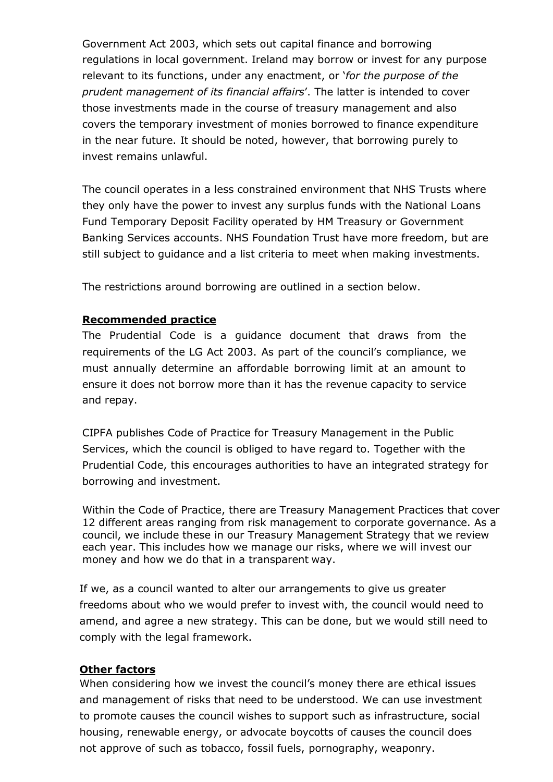Government Act 2003, which sets out capital finance and borrowing regulations in local government. Ireland may borrow or invest for any purpose relevant to its functions, under any enactment, or '*for the purpose of the prudent management of its financial affairs*'. The latter is intended to cover those investments made in the course of treasury management and also covers the temporary investment of monies borrowed to finance expenditure in the near future. It should be noted, however, that borrowing purely to invest remains unlawful.

The council operates in a less constrained environment that NHS Trusts where they only have the power to invest any surplus funds with the National Loans Fund Temporary Deposit Facility operated by HM Treasury or Government Banking Services accounts. NHS Foundation Trust have more freedom, but are still subject to guidance and a list criteria to meet when making investments.

The restrictions around borrowing are outlined in a section below.

### **Recommended practice**

The Prudential Code is a guidance document that draws from the requirements of the LG Act 2003. As part of the council's compliance, we must annually determine an affordable borrowing limit at an amount to ensure it does not borrow more than it has the revenue capacity to service and repay.

CIPFA publishes Code of Practice for Treasury Management in the Public Services, which the council is obliged to have regard to. Together with the Prudential Code, this encourages authorities to have an integrated strategy for borrowing and investment.

Within the Code of Practice, there are Treasury Management Practices that cover 12 different areas ranging from risk management to corporate governance. As a council, we include these in our Treasury Management Strategy that we review each year. This includes how we manage our risks, where we will invest our money and how we do that in a transparent way.

If we, as a council wanted to alter our arrangements to give us greater freedoms about who we would prefer to invest with, the council would need to amend, and agree a new strategy. This can be done, but we would still need to comply with the legal framework.

#### **Other factors**

When considering how we invest the council's money there are ethical issues and management of risks that need to be understood. We can use investment to promote causes the council wishes to support such as infrastructure, social housing, renewable energy, or advocate boycotts of causes the council does not approve of such as tobacco, fossil fuels, pornography, weaponry.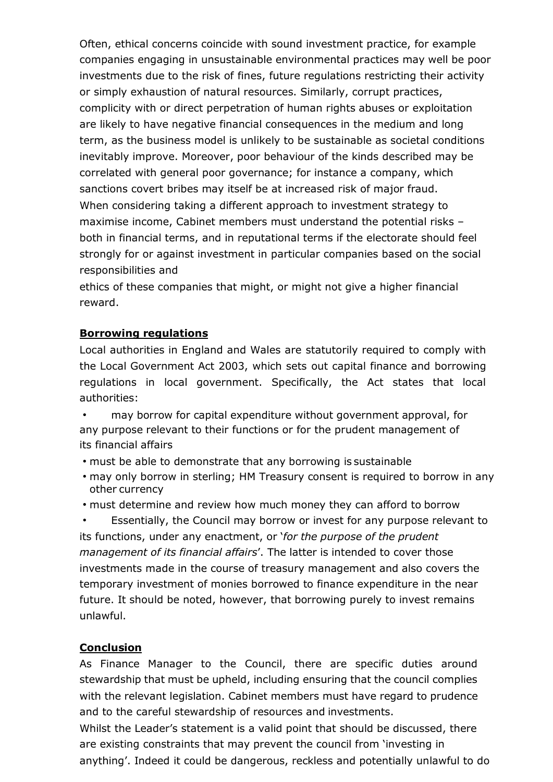Often, ethical concerns coincide with sound investment practice, for example companies engaging in unsustainable environmental practices may well be poor investments due to the risk of fines, future regulations restricting their activity or simply exhaustion of natural resources. Similarly, corrupt practices, complicity with or direct perpetration of human rights abuses or exploitation are likely to have negative financial consequences in the medium and long term, as the business model is unlikely to be sustainable as societal conditions inevitably improve. Moreover, poor behaviour of the kinds described may be correlated with general poor governance; for instance a company, which sanctions covert bribes may itself be at increased risk of major fraud. When considering taking a different approach to investment strategy to maximise income, Cabinet members must understand the potential risks – both in financial terms, and in reputational terms if the electorate should feel strongly for or against investment in particular companies based on the social responsibilities and

ethics of these companies that might, or might not give a higher financial reward.

### **Borrowing regulations**

Local authorities in England and Wales are statutorily required to comply with the Local Government Act 2003, which sets out capital finance and borrowing regulations in local government. Specifically, the Act states that local authorities:

• may borrow for capital expenditure without government approval, for any purpose relevant to their functions or for the prudent management of its financial affairs

- must be able to demonstrate that any borrowing is sustainable
- may only borrow in sterling; HM Treasury consent is required to borrow in any other currency

• must determine and review how much money they can afford to borrow

Essentially, the Council may borrow or invest for any purpose relevant to its functions, under any enactment, or '*for the purpose of the prudent management of its financial affairs*'. The latter is intended to cover those investments made in the course of treasury management and also covers the temporary investment of monies borrowed to finance expenditure in the near future. It should be noted, however, that borrowing purely to invest remains unlawful.

# **Conclusion**

As Finance Manager to the Council, there are specific duties around stewardship that must be upheld, including ensuring that the council complies with the relevant legislation. Cabinet members must have regard to prudence and to the careful stewardship of resources and investments.

Whilst the Leader's statement is a valid point that should be discussed, there are existing constraints that may prevent the council from 'investing in anything'. Indeed it could be dangerous, reckless and potentially unlawful to do